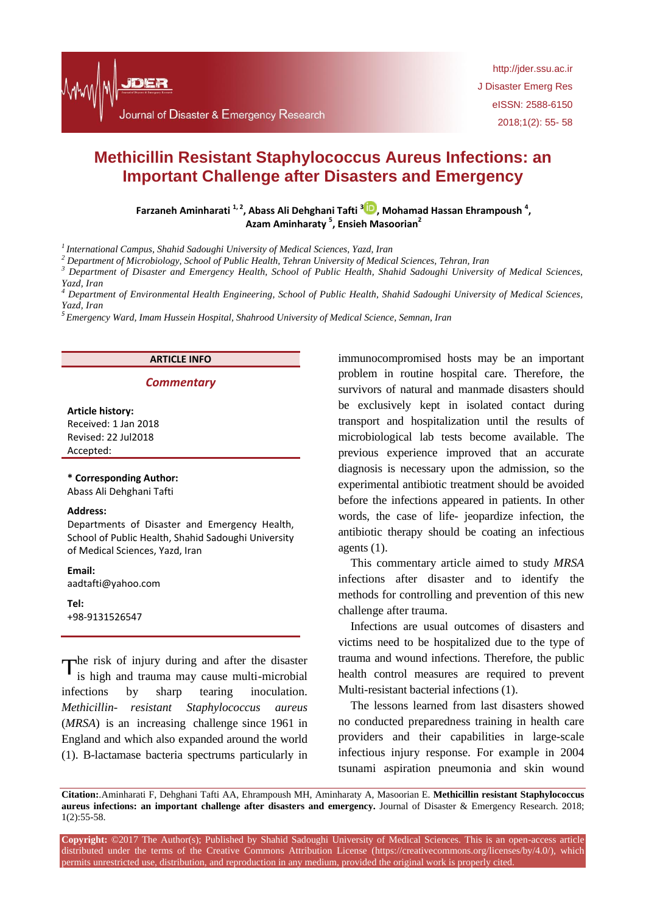

http://jder.ssu.ac.ir J Disaster Emerg Res eISSN: 2588-6150 2018;1(2): 55- 58

# **Methicillin Resistant Staphylococcus Aureus Infections: an Important Challenge after Disasters and Emergency**

**Farzaneh Aminharati** <sup>1[,](http://orcid.org/0000-0002-7040-4188) 2</sup>, Abass Ali Dehghani Tafti <sup>3</sup><sup>10</sup>, Mohamad Hassan Ehrampoush<sup>4</sup>, **Azam Aminharaty <sup>5</sup> , Ensieh Masoorian<sup>2</sup>**

*<sup>1</sup>International Campus, Shahid Sadoughi University of Medical Sciences, Yazd, Iran*

*<sup>2</sup> Department of Microbiology, School of Public Health, Tehran University of Medical Sciences, Tehran, Iran*

*<sup>3</sup> Department of Disaster and Emergency Health, School of Public Health, Shahid Sadoughi University of Medical Sciences, Yazd, Iran*

*<sup>4</sup> Department of Environmental Health Engineering, School of Public Health, Shahid Sadoughi University of Medical Sciences, Yazd, Iran*

*5 Emergency Ward, Imam Hussein Hospital, Shahrood University of Medical Science, Semnan, Iran*

## **ARTICLE INFO**

### *Commentary*

**Article history:** Received: 1 Jan 2018 Revised: 22 Jul2018 Accepted:

**\* Corresponding Author:**

Abass Ali Dehghani Tafti

#### **Address:**

Departments of Disaster and Emergency Health, School of Public Health, Shahid Sadoughi University of Medical Sciences, Yazd, Iran

**Email:** 

aadtafti@yahoo.com

**Tel:** +98-9131526547

The risk of injury during and after the disaster<br>is high and trauma may cause multi-microbial is high and trauma may cause multi-microbial infections by sharp tearing inoculation. *Methicillin- resistant Staphylococcus aureus* (*MRSA*) is an increasing challenge since 1961 in England and which also expanded around the world (1). B-lactamase bacteria spectrums particularly in immunocompromised hosts may be an important problem in routine hospital care. Therefore, the survivors of natural and manmade disasters should be exclusively kept in isolated contact during transport and hospitalization until the results of microbiological lab tests become available. The previous experience improved that an accurate diagnosis is necessary upon the admission, so the experimental antibiotic treatment should be avoided before the infections appeared in patients. In other words, the case of life- jeopardize infection, the antibiotic therapy should be coating an infectious agents (1).

This commentary article aimed to study *MRSA* infections after disaster and to identify the methods for controlling and prevention of this new challenge after trauma.

Infections are usual outcomes of disasters and victims need to be hospitalized due to the type of trauma and wound infections. Therefore, the public health control measures are required to prevent Multi-resistant bacterial infections (1).

The lessons learned from last disasters showed no conducted preparedness training in health care providers and their capabilities in large-scale infectious injury response. For example in 2004 tsunami aspiration pneumonia and skin wound

**Citation:**.Aminharati F, Dehghani Tafti AA, Ehrampoush MH, Aminharaty A, Masoorian E. **Methicillin resistant Staphylococcus aureus infections: an important challenge after disasters and emergency.** Journal of Disaster & Emergency Research. 2018; 1(2):55-58.

**Copyright:** ©2017 The Author(s); Published by Shahid Sadoughi University of Medical Sciences. This is an open-access article distributed under the terms of the Creative Commons Attribution License (https://creativecommons.org/licenses/by/4.0/), which permits unrestricted use, distribution, and reproduction in any medium, provided the original work is properly cited.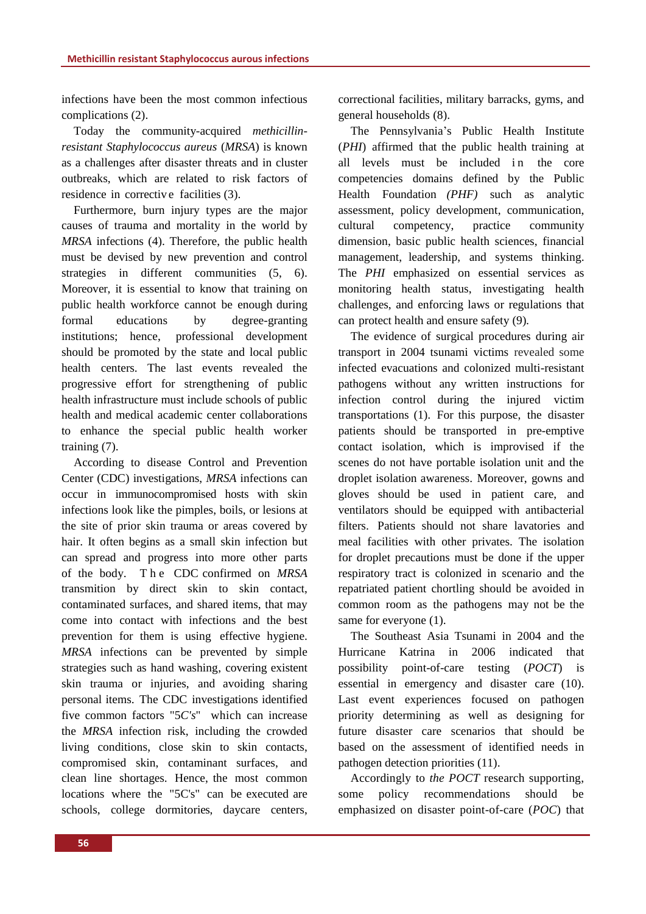infections have been the most common infectious complications (2).

Today the community-acquired *methicillinresistant Staphylococcus aureus* (*MRSA*) is known as a challenges after disaster threats and in cluster outbreaks, which are related to risk factors of residence in corrective facilities (3).

Furthermore, burn injury types are the major causes of trauma and mortality in the world by *MRSA* infections (4). Therefore, the public health must be devised by new prevention and control strategies in different communities (5, 6). Moreover, it is essential to know that training on public health workforce cannot be enough during formal educations by degree-granting institutions; hence, professional development should be promoted by the state and local public health centers. The last events revealed the progressive effort for strengthening of public health infrastructure must include schools of public health and medical academic center collaborations to enhance the special public health worker training (7).

According to disease Control and Prevention Center (CDC) investigations, *MRSA* infections can occur in immunocompromised hosts with skin infections look like the pimples, boils, or lesions at the site of prior skin trauma or areas covered by hair. It often begins as a small skin infection but can spread and progress into more other parts of the body. T h e CDC confirmed on *MRSA*  transmition by direct skin to skin contact, contaminated surfaces, and shared items, that may come into contact with infections and the best prevention for them is using effective hygiene. *MRSA* infections can be prevented by simple strategies such as hand washing, covering existent skin trauma or injuries, and avoiding sharing personal items. The CDC investigations identified five common factors "5*C's*" which can increase the *MRSA* infection risk, including the crowded living conditions, close skin to skin contacts, compromised skin, contaminant surfaces, and clean line shortages. Hence, the most common locations where the "5C's" can be executed are schools, college dormitories, daycare centers, correctional facilities, military barracks, gyms, and general households (8).

The Pennsylvania's Public Health Institute (*PHI*) affirmed that the public health training at all levels must be included in the core competencies domains defined by the Public Health Foundation *(PHF)* such as analytic assessment, policy development, communication, cultural competency, practice community dimension, basic public health sciences, financial management, leadership, and systems thinking. The *PHI* emphasized on essential services as monitoring health status, investigating health challenges, and enforcing laws or regulations that can protect health and ensure safety (9)*.*

The evidence of surgical procedures during air transport in 2004 tsunami victims revealed some infected evacuations and colonized multi-resistant pathogens without any written instructions for infection control during the injured victim transportations (1). For this purpose, the disaster patients should be transported in pre-emptive contact isolation, which is improvised if the scenes do not have portable isolation unit and the droplet isolation awareness. Moreover, gowns and gloves should be used in patient care, and ventilators should be equipped with antibacterial filters. Patients should not share lavatories and meal facilities with other privates. The isolation for droplet precautions must be done if the upper respiratory tract is colonized in scenario and the repatriated patient chortling should be avoided in common room as the pathogens may not be the same for everyone (1).

The Southeast Asia Tsunami in 2004 and the Hurricane Katrina in 2006 indicated that possibility point-of-care testing (*POCT*) is essential in emergency and disaster care (10). Last event experiences focused on pathogen priority determining as well as designing for future disaster care scenarios that should be based on the assessment of identified needs in pathogen detection priorities (11).

Accordingly to *the POCT* research supporting, some policy recommendations should be emphasized on disaster point-of-care (*POC*) that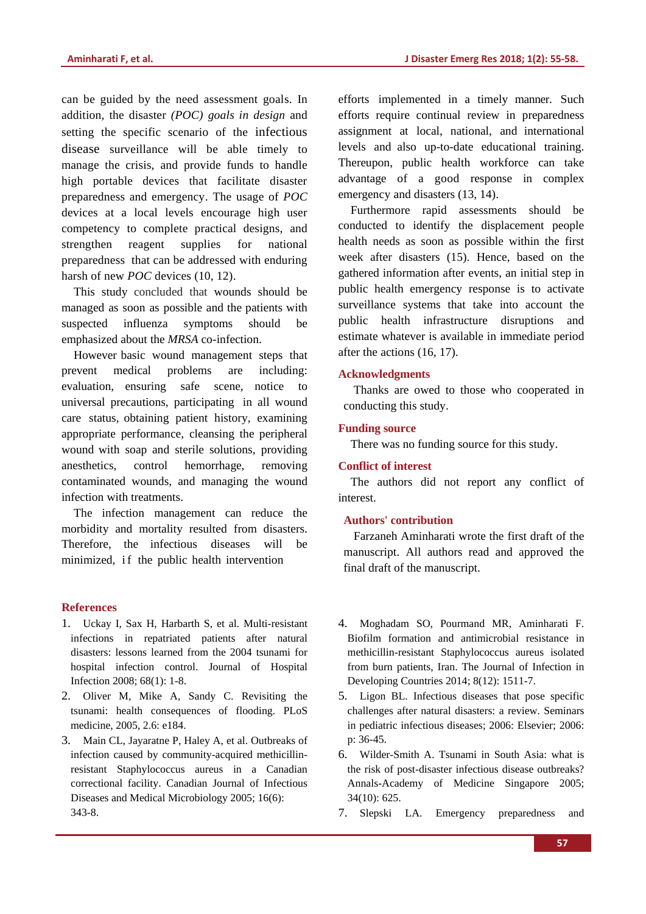can be guided by the need assessment goals. In addition, the disaster *(POC) goals in design* and setting the specific scenario of the infectious disease surveillance will be able timely to manage the crisis, and provide funds to handle high portable devices that facilitate disaster preparedness and emergency. The usage of *POC*  devices at a local levels encourage high user competency to complete practical designs, and strengthen reagent supplies for national preparedness that can be addressed with enduring harsh of new *POC* devices (10, 12).

This study concluded that wounds should be managed as soon as possible and the patients with suspected influenza symptoms should be emphasized about the *MRSA* co-infection.

However basic wound management steps that prevent medical problems are including: evaluation, ensuring safe scene, notice to universal precautions, participating in all wound care status, obtaining patient history, examining appropriate performance, cleansing the peripheral wound with soap and sterile solutions, providing anesthetics, control hemorrhage, removing contaminated wounds, and managing the wound infection with treatments.

The infection management can reduce the morbidity and mortality resulted from disasters. Therefore, the infectious diseases will be minimized, if the public health intervention

### **References**

- 1. Uckay I, Sax H, Harbarth S, et al. Multi-resistant infections in repatriated patients after natural disasters: lessons learned from the 2004 tsunami for hospital infection control. Journal of Hospital Infection 2008; 68(1): 1-8.
- 2. Oliver M, Mike A, Sandy C. Revisiting the tsunami: health consequences of flooding. PLoS medicine, 2005, 2.6: e184.
- 3. Main CL, Jayaratne P, Haley A, et al. Outbreaks of infection caused by community-acquired methicillinresistant Staphylococcus aureus in a Canadian correctional facility. Canadian Journal of Infectious Diseases and Medical Microbiology 2005; 16(6): 343-8.

efforts implemented in a timely manner. Such efforts require continual review in preparedness assignment at local, national, and international levels and also up-to-date educational training. Thereupon, public health workforce can take advantage of a good response in complex emergency and disasters (13, 14).

Furthermore rapid assessments should be conducted to identify the displacement people health needs as soon as possible within the first week after disasters (15). Hence, based on the gathered information after events, an initial step in public health emergency response is to activate surveillance systems that take into account the public health infrastructure disruptions and estimate whatever is available in immediate period after the actions (16, 17).

#### **Acknowledgments**

Thanks are owed to those who cooperated in conducting this study.

### **Funding source**

There was no funding source for this study.

## **Conflict of interest**

The authors did not report any conflict of interest.

## **Authors' contribution**

Farzaneh Aminharati wrote the first draft of the manuscript. All authors read and approved the final draft of the manuscript.

- 4. Moghadam SO, Pourmand MR, Aminharati F. Biofilm formation and antimicrobial resistance in methicillin-resistant Staphylococcus aureus isolated from burn patients, Iran. The Journal of Infection in Developing Countries 2014; 8(12): 1511-7.
- 5. Ligon BL. Infectious diseases that pose specific challenges after natural disasters: a review. Seminars in pediatric infectious diseases; 2006: Elsevier; 2006: p: 36-45.
- 6. Wilder-Smith A. Tsunami in South Asia: what is the risk of post-disaster infectious disease outbreaks? Annals-Academy of Medicine Singapore 2005; 34(10): 625.
- 7. Slepski LA. Emergency preparedness and